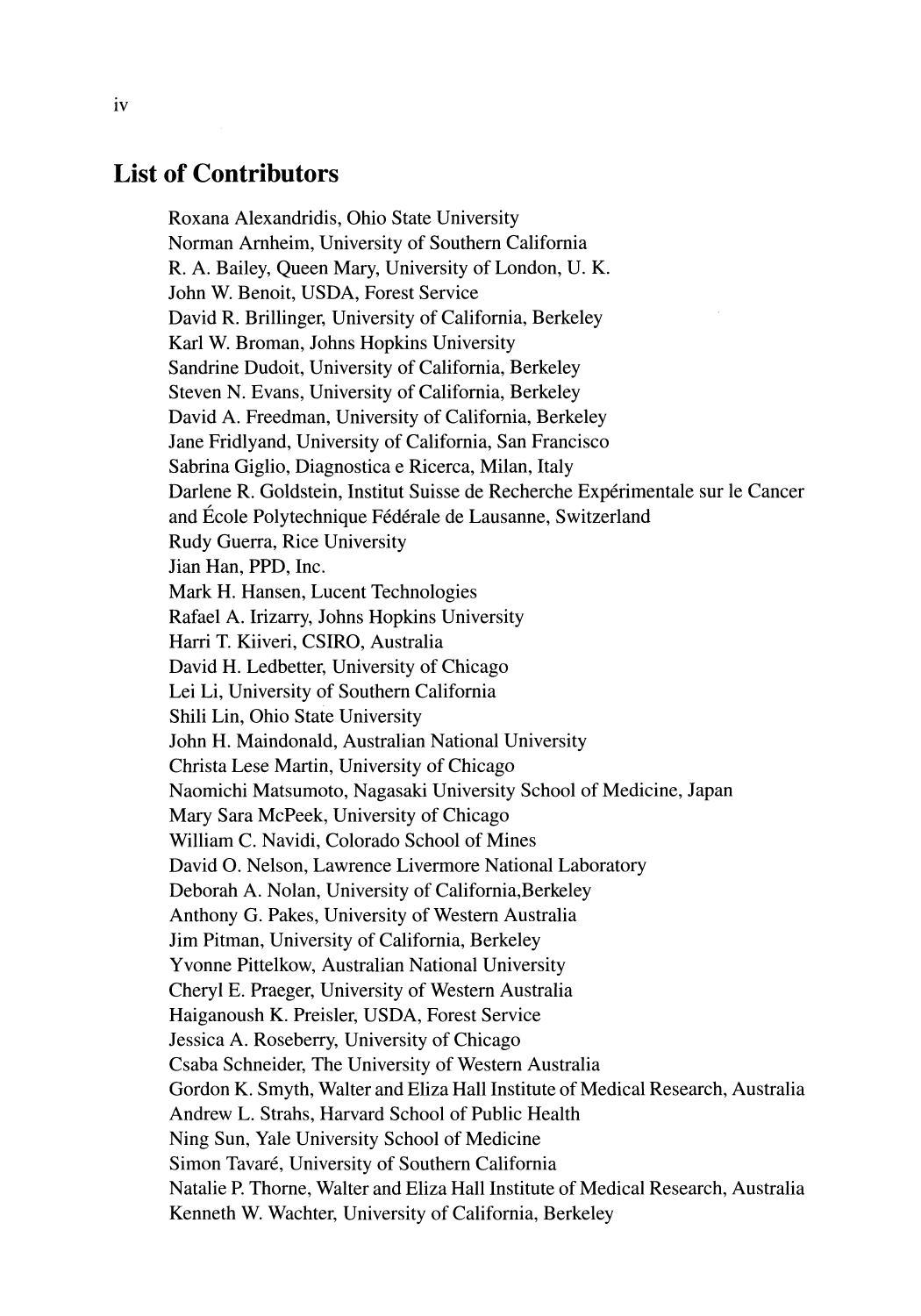## **List of Contributors**

Roxana Alexandridis, Ohio State University Norman Arnheim, University of Southern California R. A. Bailey, Queen Mary, University of London, U. K. John W. Benoit, USDA, Forest Service David R. Brillinger, University of California, Berkeley Karl W. Broman, Johns Hopkins University Sandrine Dudoit, University of California, Berkeley Steven N. Evans, University of California, Berkeley David A. Freedman, University of California, Berkeley Jane Fridlyand, University of California, San Francisco Sabrina Giglio, Diagnostica e Ricerca, Milan, Italy Darlene R. Goldstein, Institut Suisse de Recherche Expérimentale sur le Cancer and École Polytechnique Fédérale de Lausanne, Switzerland Rudy Guerra, Rice University Jian Han, PPD, Inc. Mark H. Hansen, Lucent Technologies Rafael A. Irizarry, Johns Hopkins University Harri T. Kiiveri, CSIRO, Australia David H. Ledbetter, University of Chicago Lei Li, University of Southern California Shili Lin, Ohio State University John H. Maindonald, Australian National University Christa Lese Martin, University of Chicago Naomichi Matsumoto, Nagasaki University School of Medicine, Japan Mary Sara McPeek, University of Chicago William C. Navidi, Colorado School of Mines David O. Nelson, Lawrence Livermore National Laboratory Deborah A. Nolan, University of California,Berkeley Anthony G. Pakes, University of Western Australia Jim Pitman, University of California, Berkeley Yvonne Pittelkow, Australian National University Cheryl E. Praeger, University of Western Australia Haiganoush K. Preisler, USDA, Forest Service Jessica A. Roseberry, University of Chicago Csaba Schneider, The University of Western Australia Gordon K. Smyth, Walter and Eliza Hall Institute of Medical Research, Australia Andrew L. Strahs, Harvard School of Public Health Ning Sun, Yale University School of Medicine Simon Tavaré, University of Southern California Natalie P. Thorne, Walter and Eliza Hall Institute of Medical Research, Australia Kenneth W. Wachter, University of California, Berkeley